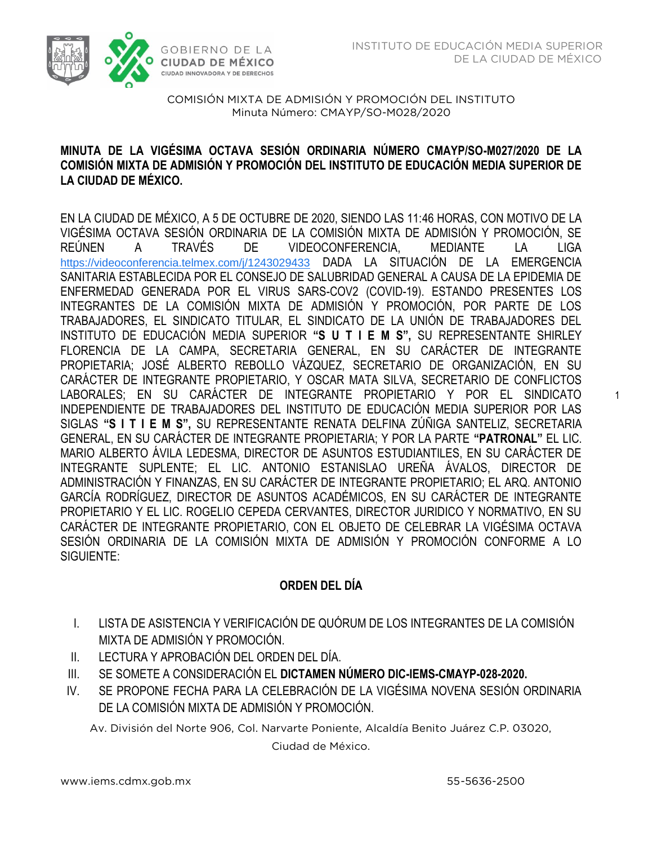

COMISIÓN MIXTA DE ADMISIÓN Y PROMOCIÓN DEL INSTITUTO  $M<sub>1</sub>$  Minutes  $M<sub>2</sub>$  and  $M<sub>2</sub>$  and  $M<sub>2</sub>$  and  $M<sub>2</sub>$  and  $M<sub>2</sub>$ 

# **MINUTA DE LA VIGÉSIMA OCTAVA SESIÓN ORDINARIA NÚMERO CMAYP/SO-M027/2020 DE LA COMISIÓN MIXTA DE ADMISIÓN Y PROMOCIÓN DEL INSTITUTO DE EDUCACIÓN MEDIA SUPERIOR DE LA CIUDAD DE MÉXICO.**

EN LA CIUDAD DE MÉXICO, A 5 DE OCTUBRE DE 2020, SIENDO LAS 11:46 HORAS, CON MOTIVO DE LA VIGÉSIMA OCTAVA SESIÓN ORDINARIA DE LA COMISIÓN MIXTA DE ADMISIÓN Y PROMOCIÓN, SE REÚNEN A TRAVÉS DE VIDEOCONFERENCIA, MEDIANTE LA LIGA [https://videoconferencia.telmex.com/j/1243029433](https://www.google.com/url?q=https://videoconferencia.telmex.com/j/1243029433&sa=D&source=calendar&ust=1605029694857000&usg=AOvVaw3f809QtUvYvc1chZryA_BZ) DADA LA SITUACIÓN DE LA EMERGENCIA SANITARIA ESTABLECIDA POR EL CONSEJO DE SALUBRIDAD GENERAL A CAUSA DE LA EPIDEMIA DE ENFERMEDAD GENERADA POR EL VIRUS SARS-COV2 (COVID-19). ESTANDO PRESENTES LOS INTEGRANTES DE LA COMISIÓN MIXTA DE ADMISIÓN Y PROMOCIÓN, POR PARTE DE LOS TRABAJADORES, EL SINDICATO TITULAR, EL SINDICATO DE LA UNIÓN DE TRABAJADORES DEL INSTITUTO DE EDUCACIÓN MEDIA SUPERIOR **"S U T I E M S",** SU REPRESENTANTE SHIRLEY FLORENCIA DE LA CAMPA, SECRETARIA GENERAL, EN SU CARÁCTER DE INTEGRANTE PROPIETARIA; JOSÉ ALBERTO REBOLLO VÁZQUEZ, SECRETARIO DE ORGANIZACIÓN, EN SU CARÁCTER DE INTEGRANTE PROPIETARIO, Y OSCAR MATA SILVA, SECRETARIO DE CONFLICTOS LABORALES; EN SU CARÁCTER DE INTEGRANTE PROPIETARIO Y POR EL SINDICATO INDEPENDIENTE DE TRABAJADORES DEL INSTITUTO DE EDUCACIÓN MEDIA SUPERIOR POR LAS SIGLAS **"S I T I E M S",** SU REPRESENTANTE RENATA DELFINA ZÚÑIGA SANTELIZ, SECRETARIA GENERAL, EN SU CARÁCTER DE INTEGRANTE PROPIETARIA; Y POR LA PARTE **"PATRONAL"** EL LIC. MARIO ALBERTO ÁVILA LEDESMA, DIRECTOR DE ASUNTOS ESTUDIANTILES, EN SU CARÁCTER DE INTEGRANTE SUPLENTE; EL LIC. ANTONIO ESTANISLAO UREÑA ÁVALOS, DIRECTOR DE ADMINISTRACIÓN Y FINANZAS, EN SU CARÁCTER DE INTEGRANTE PROPIETARIO; EL ARQ. ANTONIO GARCÍA RODRÍGUEZ, DIRECTOR DE ASUNTOS ACADÉMICOS, EN SU CARÁCTER DE INTEGRANTE PROPIETARIO Y EL LIC. ROGELIO CEPEDA CERVANTES, DIRECTOR JURIDICO Y NORMATIVO, EN SU CARÁCTER DE INTEGRANTE PROPIETARIO, CON EL OBJETO DE CELEBRAR LA VIGÉSIMA OCTAVA SESIÓN ORDINARIA DE LA COMISIÓN MIXTA DE ADMISIÓN Y PROMOCIÓN CONFORME A LO SIGUIENTE:

## **ORDEN DEL DÍA**

- I. LISTA DE ASISTENCIA Y VERIFICACIÓN DE QUÓRUM DE LOS INTEGRANTES DE LA COMISIÓN MIXTA DE ADMISIÓN Y PROMOCIÓN.
- II. LECTURA Y APROBACIÓN DEL ORDEN DEL DÍA.
- III. SE SOMETE A CONSIDERACIÓN EL **DICTAMEN NÚMERO DIC-IEMS-CMAYP-028-2020.**
- IV. SE PROPONE FECHA PARA LA CELEBRACIÓN DE LA VIGÉSIMA NOVENA SESIÓN ORDINARIA DE LA COMISIÓN MIXTA DE ADMISIÓN Y PROMOCIÓN.

Av. División del Norte 906, Col. Narvarte Poniente, Alcaldía Benito Juárez C.P. 03020,

Ciudad de México.

1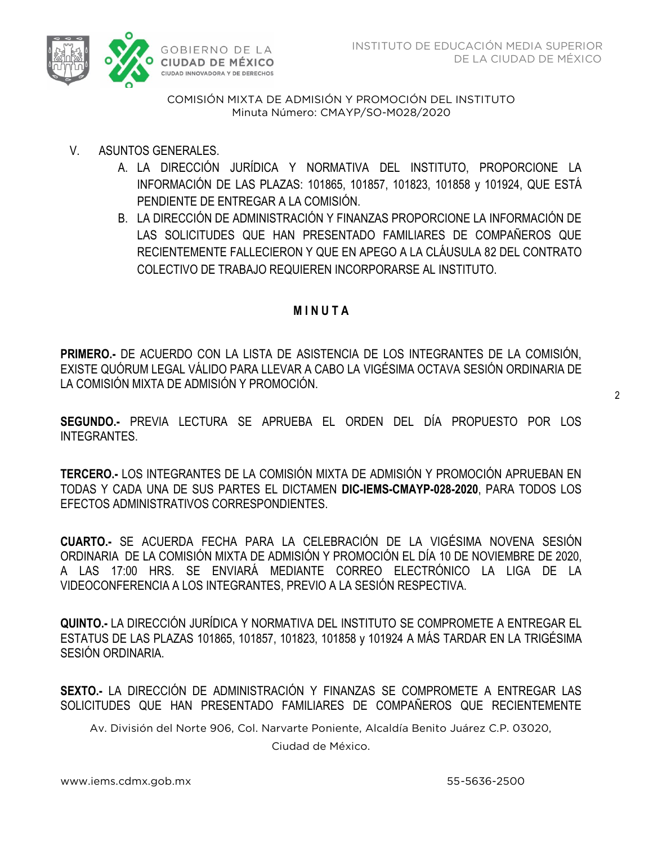

COMISIÓN MIXTA DE ADMISIÓN Y PROMOCIÓN DEL INSTITUTO Minuta Número: CMAYP/SO-M028/2020  $M<sub>1</sub>$  Minutes  $M<sub>2</sub>$  and  $M<sub>2</sub>$  and  $M<sub>2</sub>$  and  $M<sub>2</sub>$  and  $M<sub>2</sub>$ 

- V. ASUNTOS GENERALES.
	- A. LA DIRECCIÓN JURÍDICA Y NORMATIVA DEL INSTITUTO, PROPORCIONE LA INFORMACIÓN DE LAS PLAZAS: 101865, 101857, 101823, 101858 y 101924, QUE ESTÁ PENDIENTE DE ENTREGAR A LA COMISIÓN.
	- B. LA DIRECCIÓN DE ADMINISTRACIÓN Y FINANZAS PROPORCIONE LA INFORMACIÓN DE LAS SOLICITUDES QUE HAN PRESENTADO FAMILIARES DE COMPAÑEROS QUE RECIENTEMENTE FALLECIERON Y QUE EN APEGO A LA CLÁUSULA 82 DEL CONTRATO COLECTIVO DE TRABAJO REQUIEREN INCORPORARSE AL INSTITUTO.

### **M I N U T A**

**PRIMERO.-** DE ACUERDO CON LA LISTA DE ASISTENCIA DE LOS INTEGRANTES DE LA COMISIÓN, EXISTE QUÓRUM LEGAL VÁLIDO PARA LLEVAR A CABO LA VIGÉSIMA OCTAVA SESIÓN ORDINARIA DE LA COMISIÓN MIXTA DE ADMISIÓN Y PROMOCIÓN.

2

**SEGUNDO.-** PREVIA LECTURA SE APRUEBA EL ORDEN DEL DÍA PROPUESTO POR LOS INTEGRANTES.

**TERCERO.-** LOS INTEGRANTES DE LA COMISIÓN MIXTA DE ADMISIÓN Y PROMOCIÓN APRUEBAN EN TODAS Y CADA UNA DE SUS PARTES EL DICTAMEN **DIC-IEMS-CMAYP-028-2020**, PARA TODOS LOS EFECTOS ADMINISTRATIVOS CORRESPONDIENTES.

**CUARTO.-** SE ACUERDA FECHA PARA LA CELEBRACIÓN DE LA VIGÉSIMA NOVENA SESIÓN ORDINARIA DE LA COMISIÓN MIXTA DE ADMISIÓN Y PROMOCIÓN EL DÍA 10 DE NOVIEMBRE DE 2020, A LAS 17:00 HRS. SE ENVIARÁ MEDIANTE CORREO ELECTRÓNICO LA LIGA DE LA VIDEOCONFERENCIA A LOS INTEGRANTES, PREVIO A LA SESIÓN RESPECTIVA.

**QUINTO.-** LA DIRECCIÓN JURÍDICA Y NORMATIVA DEL INSTITUTO SE COMPROMETE A ENTREGAR EL ESTATUS DE LAS PLAZAS 101865, 101857, 101823, 101858 y 101924 A MÁS TARDAR EN LA TRIGÉSIMA SESIÓN ORDINARIA.

**SEXTO.-** LA DIRECCIÓN DE ADMINISTRACIÓN Y FINANZAS SE COMPROMETE A ENTREGAR LAS SOLICITUDES QUE HAN PRESENTADO FAMILIARES DE COMPAÑEROS QUE RECIENTEMENTE

Av. División del Norte 906, Col. Narvarte Poniente, Alcaldía Benito Juárez C.P. 03020,

Ciudad de México.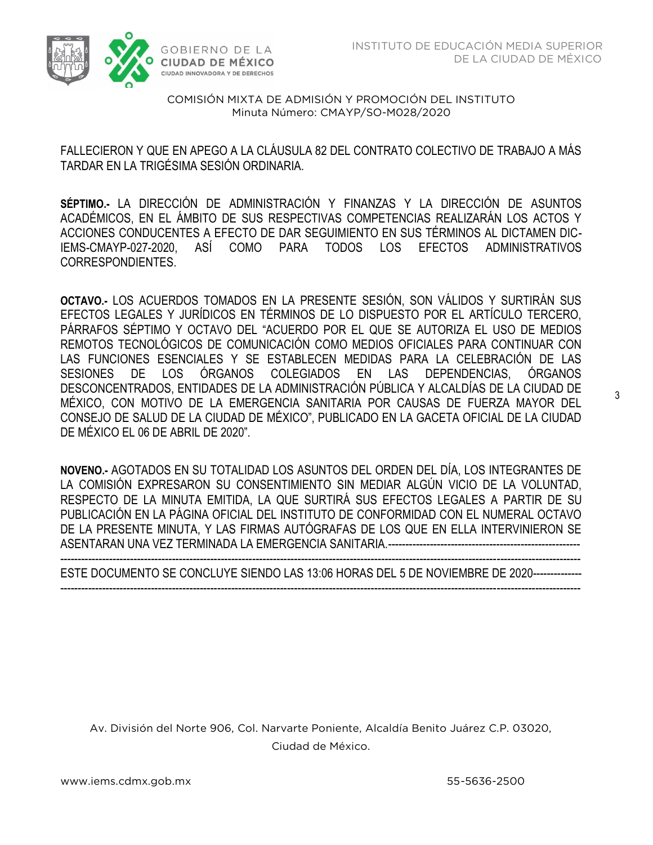

COMISIÓN MIXTA DE ADMISIÓN Y PROMOCIÓN DEL INSTITUTO  $M<sub>1</sub>$  Minutes  $M<sub>2</sub>$  and  $M<sub>2</sub>$  and  $M<sub>2</sub>$  and  $M<sub>2</sub>$  and  $M<sub>2</sub>$ 

 FALLECIERON Y QUE EN APEGO A LA CLÁUSULA 82 DEL CONTRATO COLECTIVO DE TRABAJO A MÁS TARDAR EN LA TRIGÉSIMA SESIÓN ORDINARIA.

**SÉPTIMO.-** LA DIRECCIÓN DE ADMINISTRACIÓN Y FINANZAS Y LA DIRECCIÓN DE ASUNTOS ACADÉMICOS, EN EL ÁMBITO DE SUS RESPECTIVAS COMPETENCIAS REALIZARÁN LOS ACTOS Y ACCIONES CONDUCENTES A EFECTO DE DAR SEGUIMIENTO EN SUS TÉRMINOS AL DICTAMEN DIC-IEMS-CMAYP-027-2020, ASÍ COMO PARA TODOS LOS EFECTOS ADMINISTRATIVOS CORRESPONDIENTES.

**OCTAVO.-** LOS ACUERDOS TOMADOS EN LA PRESENTE SESIÓN, SON VÁLIDOS Y SURTIRÁN SUS EFECTOS LEGALES Y JURÍDICOS EN TÉRMINOS DE LO DISPUESTO POR EL ARTÍCULO TERCERO, PÁRRAFOS SÉPTIMO Y OCTAVO DEL "ACUERDO POR EL QUE SE AUTORIZA EL USO DE MEDIOS REMOTOS TECNOLÓGICOS DE COMUNICACIÓN COMO MEDIOS OFICIALES PARA CONTINUAR CON LAS FUNCIONES ESENCIALES Y SE ESTABLECEN MEDIDAS PARA LA CELEBRACIÓN DE LAS SESIONES DE LOS ÓRGANOS COLEGIADOS EN LAS DEPENDENCIAS, ÓRGANOS DESCONCENTRADOS, ENTIDADES DE LA ADMINISTRACIÓN PÚBLICA Y ALCALDÍAS DE LA CIUDAD DE MÉXICO, CON MOTIVO DE LA EMERGENCIA SANITARIA POR CAUSAS DE FUERZA MAYOR DEL CONSEJO DE SALUD DE LA CIUDAD DE MÉXICO", PUBLICADO EN LA GACETA OFICIAL DE LA CIUDAD DE MÉXICO EL 06 DE ABRIL DE 2020".

**NOVENO.-** AGOTADOS EN SU TOTALIDAD LOS ASUNTOS DEL ORDEN DEL DÍA, LOS INTEGRANTES DE LA COMISIÓN EXPRESARON SU CONSENTIMIENTO SIN MEDIAR ALGÚN VICIO DE LA VOLUNTAD, RESPECTO DE LA MINUTA EMITIDA, LA QUE SURTIRÁ SUS EFECTOS LEGALES A PARTIR DE SU PUBLICACIÓN EN LA PÁGINA OFICIAL DEL INSTITUTO DE CONFORMIDAD CON EL NUMERAL OCTAVO DE LA PRESENTE MINUTA, Y LAS FIRMAS AUTÓGRAFAS DE LOS QUE EN ELLA INTERVINIERON SE ASENTARAN UNA VEZ TERMINADA LA EMERGENCIA SANITARIA.-------------------------------------------------------

----------------------------------------------------------------------------------------------------------------------------------------------------- ESTE DOCUMENTO SE CONCLUYE SIENDO LAS 13:06 HORAS DEL 5 DE NOVIEMBRE DE 2020---------------------------------------------------------------------------------------------------------------------------------------------------------

Av. División del Norte 906, Col. Narvarte Poniente, Alcaldía Benito Juárez C.P. 03020, Ciudad de México.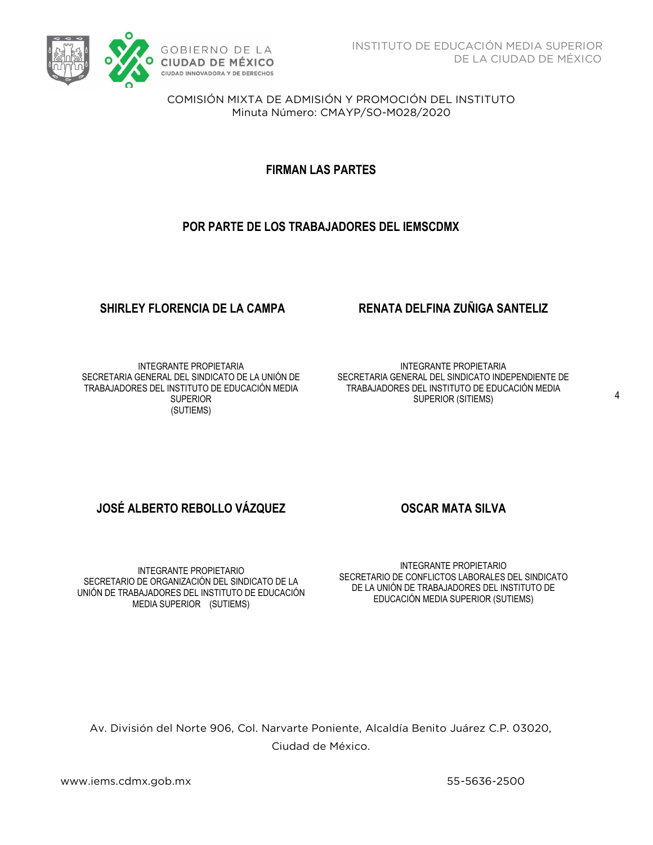

COMISIÓN MIXTA DE ADMISIÓN Y PROMOCIÓN DEL INSTITUTO Minuta Número: CMAYP/SO-M028/2020  $M<sub>1</sub>$  Minutes  $M<sub>2</sub>$  and  $M<sub>2</sub>$  and  $M<sub>2</sub>$  and  $M<sub>2</sub>$  and  $M<sub>2</sub>$ 

**FIRMAN LAS PARTES**

### **POR PARTE DE LOS TRABAJADORES DEL IEMSCDMX**

INTEGRANTE PROPIETARIA SECRETARIA GENERAL DEL SINDICATO DE LA UNIÓN DE TRABAJADORES DEL INSTITUTO DE EDUCACIÓN MEDIA **SUPERIOR** (SUTIEMS)

### **SHIRLEY FLORENCIA DE LA CAMPA RENATA DELFINA ZUÑIGA SANTELIZ**

INTEGRANTE PROPIETARIA SECRETARIA GENERAL DEL SINDICATO INDEPENDIENTE DE TRABAJADORES DEL INSTITUTO DE EDUCACIÓN MEDIA SUPERIOR (SITIEMS)

## **JOSÉ ALBERTO REBOLLO VÁZQUEZ OSCAR MATA SILVA**

INTEGRANTE PROPIETARIO SECRETARIO DE ORGANIZACIÓN DEL SINDICATO DE LA UNIÓN DE TRABAJADORES DEL INSTITUTO DE EDUCACIÓN MEDIA SUPERIOR (SUTIEMS)

INTEGRANTE PROPIETARIO SECRETARIO DE CONFLICTOS LABORALES DEL SINDICATO DE LA UNIÓN DE TRABAJADORES DEL INSTITUTO DE EDUCACIÓN MEDIA SUPERIOR (SUTIEMS)

Av. División del Norte 906, Col. Narvarte Poniente, Alcaldía Benito Juárez C.P. 03020, Ciudad de México.

where  $\frac{1}{2}$  is the set of  $\frac{1}{2}$  is the set of  $\frac{1}{2}$  is the set of  $\frac{1}{2}$  is the set of  $\frac{1}{2}$ 

55-5636-2500